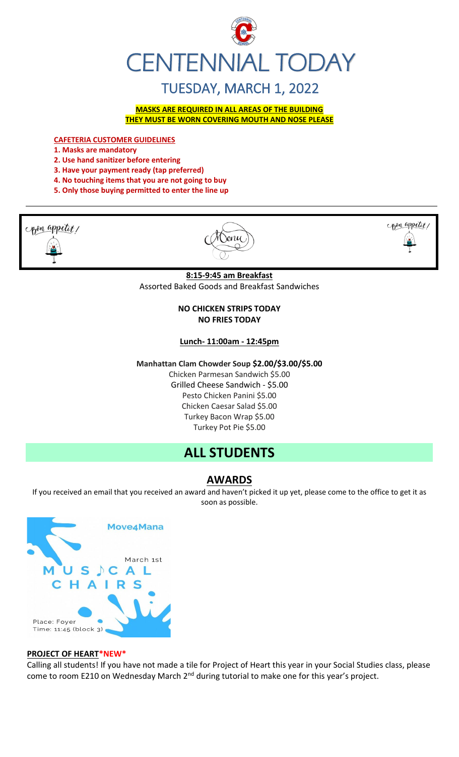

# TUESDAY, MARCH 1, 2022

**MASKS ARE REQUIRED IN ALL AREAS OF THE BUILDING THEY MUST BE WORN COVERING MOUTH AND NOSE PLEASE**

**CAFETERIA CUSTOMER GUIDELINES**

- **1. Masks are mandatory**
- **2. Use hand sanitizer before entering**

**3. Have your payment ready (tap preferred)** 

- **4. No touching items that you are not going to buy**
- **5. Only those buying permitted to enter the line up**



 $001$ 



**8:15-9:45 am Breakfast** Assorted Baked Goods and Breakfast Sandwiches

## **NO CHICKEN STRIPS TODAY NO FRIES TODAY**

#### **Lunch- 11:00am - 12:45pm**

**Manhattan Clam Chowder Soup \$2.00/\$3.00/\$5.00**

Chicken Parmesan Sandwich \$5.00 Grilled Cheese Sandwich - \$5.00 Pesto Chicken Panini \$5.00 Chicken Caesar Salad \$5.00 Turkey Bacon Wrap \$5.00 Turkey Pot Pie \$5.00

## **ALL STUDENTS**

## **AWARDS**

If you received an email that you received an award and haven't picked it up yet, please come to the office to get it as soon as possible.



#### **PROJECT OF HEART\*NEW\***

Calling all students! If you have not made a tile for Project of Heart this year in your Social Studies class, please come to room E210 on Wednesday March 2<sup>nd</sup> during tutorial to make one for this year's project.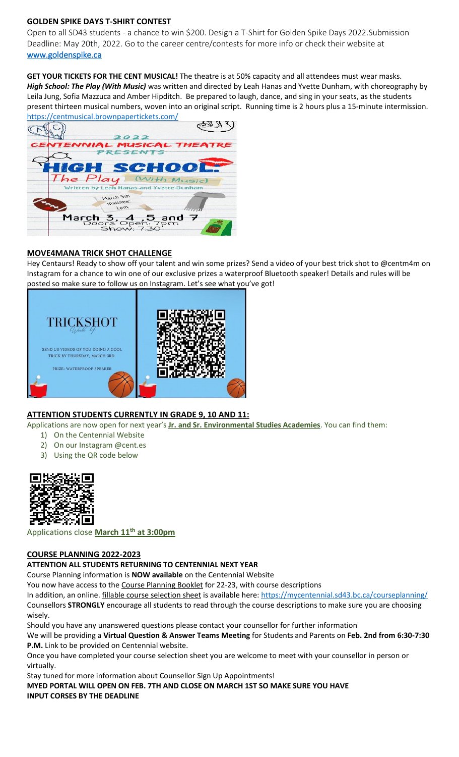## **GOLDEN SPIKE DAYS T-SHIRT CONTEST**

Open to all SD43 students - a chance to win \$200. Design a T-Shirt for Golden Spike Days 2022.Submission Deadline: May 20th, 2022. Go to the career centre/contests for more info or check their website at [www.goldenspike.ca](http://www.goldenspike.ca/)

**GET YOUR TICKETS FOR THE CENT MUSICAL!** The theatre is at 50% capacity and all attendees must wear masks. *High School: The Play (With Music)* was written and directed by Leah Hanas and Yvette Dunham, with choreography by Leila Jung, Sofia Mazzuca and Amber Hipditch. Be prepared to laugh, dance, and sing in your seats, as the students present thirteen musical numbers, woven into an original script. Running time is 2 hours plus a 15-minute intermission. <https://centmusical.brownpapertickets.com/>



## **MOVE4MANA TRICK SHOT CHALLENGE**

Hey Centaurs! Ready to show off your talent and win some prizes? Send a video of your best trick shot to @centm4m on Instagram for a chance to win one of our exclusive prizes a waterproof Bluetooth speaker! Details and rules will be posted so make sure to follow us on Instagram. Let's see what you've got!



## **ATTENTION STUDENTS CURRENTLY IN GRADE 9, 10 AND 11:**

Applications are now open for next year's **Jr. and Sr. Environmental Studies Academies**. You can find them:

- 1) On the Centennial Website
- 2) On our Instagram @cent.es
- 3) Using the QR code below



Applications close **March 11th at 3:00pm**

## **COURSE PLANNING 2022-2023**

#### **ATTENTION ALL STUDENTS RETURNING TO CENTENNIAL NEXT YEAR**

Course Planning information is **NOW available** on the Centennial Website

You now have access to the Course Planning Booklet for 22-23, with course descriptions

In addition, an online. fillable course selection sheet is available here:<https://mycentennial.sd43.bc.ca/courseplanning/>

Counsellors **STRONGLY** encourage all students to read through the course descriptions to make sure you are choosing wisely.

Should you have any unanswered questions please contact your counsellor for further information

We will be providing a **Virtual Question & Answer Teams Meeting** for Students and Parents on **Feb. 2nd from 6:30-7:30 P.M.** Link to be provided on Centennial website.

Once you have completed your course selection sheet you are welcome to meet with your counsellor in person or virtually.

Stay tuned for more information about Counsellor Sign Up Appointments!

**MYED PORTAL WILL OPEN ON FEB. 7TH AND CLOSE ON MARCH 1ST SO MAKE SURE YOU HAVE INPUT CORSES BY THE DEADLINE**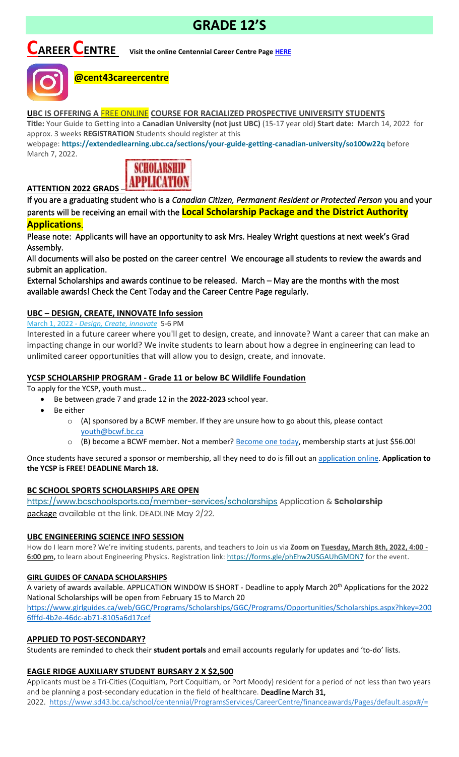# **GRADE 12'S**

# **CAREER CENTRE Visit the online Centennial Career Centre Page [HERE](https://www.sd43.bc.ca/school/centennial/ProgramsServices/CareerCentre/experiences/Pages/default.aspx#/=)**



## **@cent43careercentre**

## **UBC IS OFFERING A** FREE ONLINE **COURSE FOR RACIALIZED PROSPECTIVE UNIVERSITY STUDENTS**

**Title:** Your Guide to Getting into a **Canadian University (not just UBC)** (15-17 year old) **Start date:** March 14, 2022 for approx. 3 weeks **REGISTRATION** Students should register at this

webpage: **<https://extendedlearning.ubc.ca/sections/your-guide-getting-canadian-university/so100w22q>** before March 7, 2022.



# **ATTENTION 2022 GRADS** –

If you are a graduating student who is a *Canadian Citizen, Permanent Resident or Protected Person* you and your parents will be receiving an email with the **Local Scholarship Package and the District Authority Applications**.

Please note: Applicants will have an opportunity to ask Mrs. Healey Wright questions at next week's Grad Assembly.

All documents will also be posted on the career centre! We encourage all students to review the awards and submit an application.

External Scholarships and awards continue to be released. March – May are the months with the most available awards! Check the Cent Today and the Career Centre Page regularly.

## **UBC – DESIGN, CREATE, INNOVATE Info session**

March 1, 2022 - *[Design, Create, innovate](https://usend.ubc.ca/sendy/l/rIVID892cGlXFhKkqDAP4pPw/CoLQGWp5F1aXR61frGQTLg/2NVMXaF6kwoqb0Zu2zyabA)* 5-6 PM

Interested in a future career where you'll get to design, create, and innovate? Want a career that can make an impacting change in our world? We invite students to learn about how a degree in engineering can lead to unlimited career opportunities that will allow you to design, create, and innovate.

## **YCSP SCHOLARSHIP PROGRAM - Grade 11 or below BC Wildlife Foundation**

To apply for the YCSP, youth must…

- Be between grade 7 and grade 12 in the **2022-2023** school year.
- Be either
	- $\circ$  (A) sponsored by a BCWF member. If they are unsure how to go about this, please contact [youth@bcwf.bc.ca](mailto:youth@bcwf.bc.ca)
	- $\circ$  (B) become a BCWF member. Not a member? [Become one today,](https://bcwf.bc.ca/membership/) membership starts at just \$56.00!

Once students have secured a sponsor or membership, all they need to do is fill out a[n application online.](https://bcwf.bc.ca/young-conservationist-scholarship-program/) **Application to the YCSP is FREE**! **DEADLINE March 18.**

## **BC SCHOOL SPORTS SCHOLARSHIPS ARE OPEN**

<https://www.bcschoolsports.ca/member-services/scholarships> Application & **Scholarship**  package available at the link. DEADLINE May 2/22.

## **UBC ENGINEERING SCIENCE INFO SESSION**

How do I learn more? We're inviting students, parents, and teachers to Join us via **Zoom on Tuesday, March 8th, 2022, 4:00**  6:00 pm, to learn about Engineering Physics. Registration link: <https://forms.gle/phEhw2USGAUhGMDN7> for the event.

## **GIRL GUIDES OF CANADA SCHOLARSHIPS**

A variety of awards available. APPLICATION WINDOW IS SHORT - Deadline to apply March 20th Applications for the 2022 National Scholarships will be open from February 15 to March 20

[https://www.girlguides.ca/web/GGC/Programs/Scholarships/GGC/Programs/Opportunities/Scholarships.aspx?hkey=200](https://www.girlguides.ca/web/GGC/Programs/Scholarships/GGC/Programs/Opportunities/Scholarships.aspx?hkey=2006fffd-4b2e-​46dc-ab71-8105a6d17cef) [6fffd-4b2e-46dc-ab71-8105a6d17cef](https://www.girlguides.ca/web/GGC/Programs/Scholarships/GGC/Programs/Opportunities/Scholarships.aspx?hkey=2006fffd-4b2e-​46dc-ab71-8105a6d17cef)

## **APPLIED TO POST-SECONDARY?**

Students are reminded to check their **student portals** and email accounts regularly for updates and 'to-do' lists.

## **EAGLE RIDGE AUXILIARY STUDENT BURSARY 2 X \$2,500**

Applicants must be a Tri-Cities (Coquitlam, Port Coquitlam, or Port Moody) resident for a period of not less than two years and be planning a post-secondary education in the field of healthcare. Deadline March 31, 2022. <https://www.sd43.bc.ca/school/centennial/ProgramsServices/CareerCentre/financeawards/Pages/default.aspx#/=>